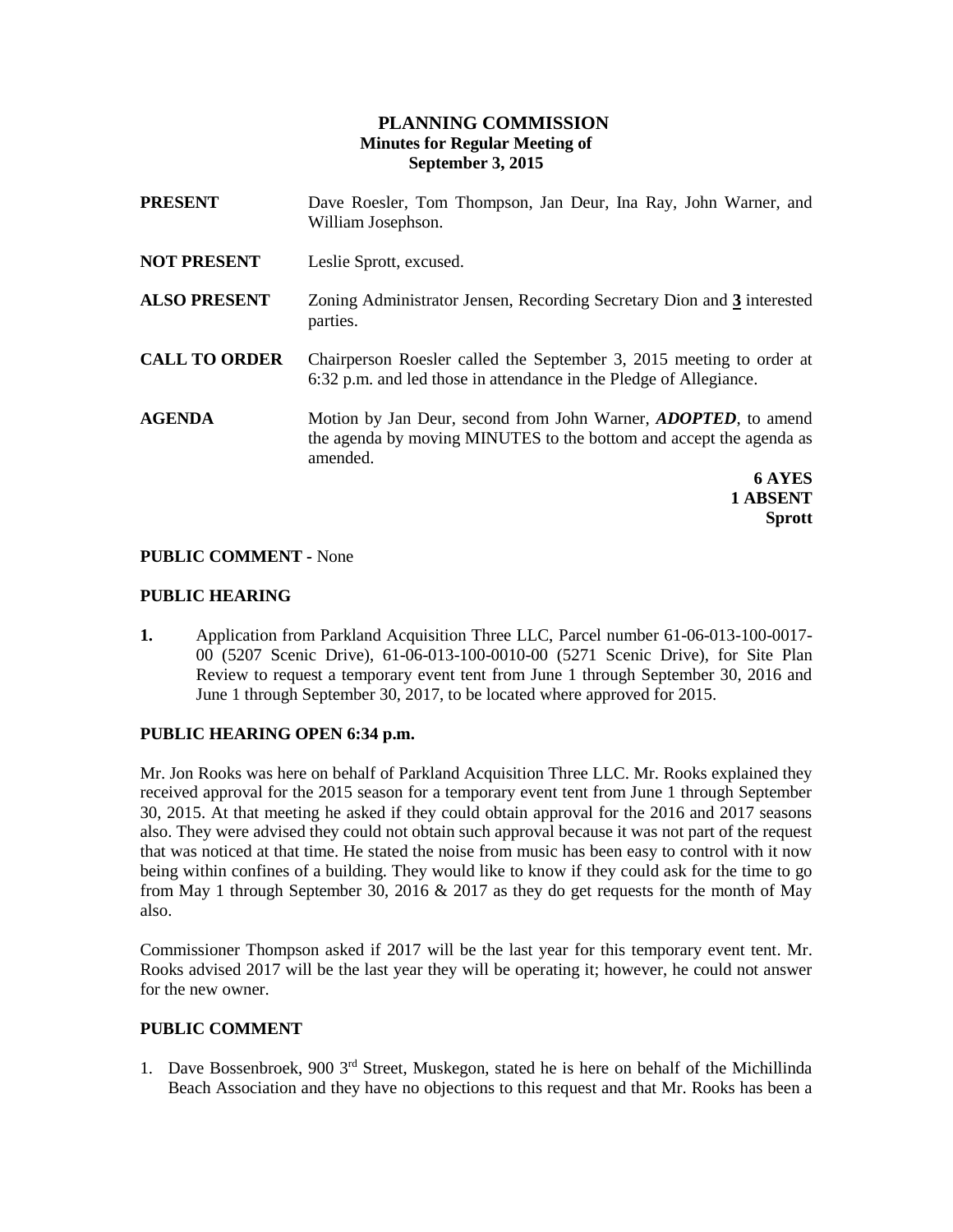# **PLANNING COMMISSION Minutes for Regular Meeting of September 3, 2015**

| <b>PRESENT</b>       | Dave Roesler, Tom Thompson, Jan Deur, Ina Ray, John Warner, and<br>William Josephson.                                                                     |
|----------------------|-----------------------------------------------------------------------------------------------------------------------------------------------------------|
| <b>NOT PRESENT</b>   | Leslie Sprott, excused.                                                                                                                                   |
| <b>ALSO PRESENT</b>  | Zoning Administrator Jensen, Recording Secretary Dion and 3 interested<br>parties.                                                                        |
| <b>CALL TO ORDER</b> | Chairperson Roesler called the September 3, 2015 meeting to order at<br>6:32 p.m. and led those in attendance in the Pledge of Allegiance.                |
| <b>AGENDA</b>        | Motion by Jan Deur, second from John Warner, <i>ADOPTED</i> , to amend<br>the agenda by moving MINUTES to the bottom and accept the agenda as<br>amended. |
|                      | <b>6 AYES</b><br>1 ABSENT                                                                                                                                 |

## **PUBLIC COMMENT -** None

#### **PUBLIC HEARING**

**1.** Application from Parkland Acquisition Three LLC, Parcel number 61-06-013-100-0017- 00 (5207 Scenic Drive), 61-06-013-100-0010-00 (5271 Scenic Drive), for Site Plan Review to request a temporary event tent from June 1 through September 30, 2016 and June 1 through September 30, 2017, to be located where approved for 2015.

**Sprott**

#### **PUBLIC HEARING OPEN 6:34 p.m.**

Mr. Jon Rooks was here on behalf of Parkland Acquisition Three LLC. Mr. Rooks explained they received approval for the 2015 season for a temporary event tent from June 1 through September 30, 2015. At that meeting he asked if they could obtain approval for the 2016 and 2017 seasons also. They were advised they could not obtain such approval because it was not part of the request that was noticed at that time. He stated the noise from music has been easy to control with it now being within confines of a building. They would like to know if they could ask for the time to go from May 1 through September 30, 2016  $& 2017$  as they do get requests for the month of May also.

Commissioner Thompson asked if 2017 will be the last year for this temporary event tent. Mr. Rooks advised 2017 will be the last year they will be operating it; however, he could not answer for the new owner.

### **PUBLIC COMMENT**

1. Dave Bossenbroek, 900 3rd Street, Muskegon, stated he is here on behalf of the Michillinda Beach Association and they have no objections to this request and that Mr. Rooks has been a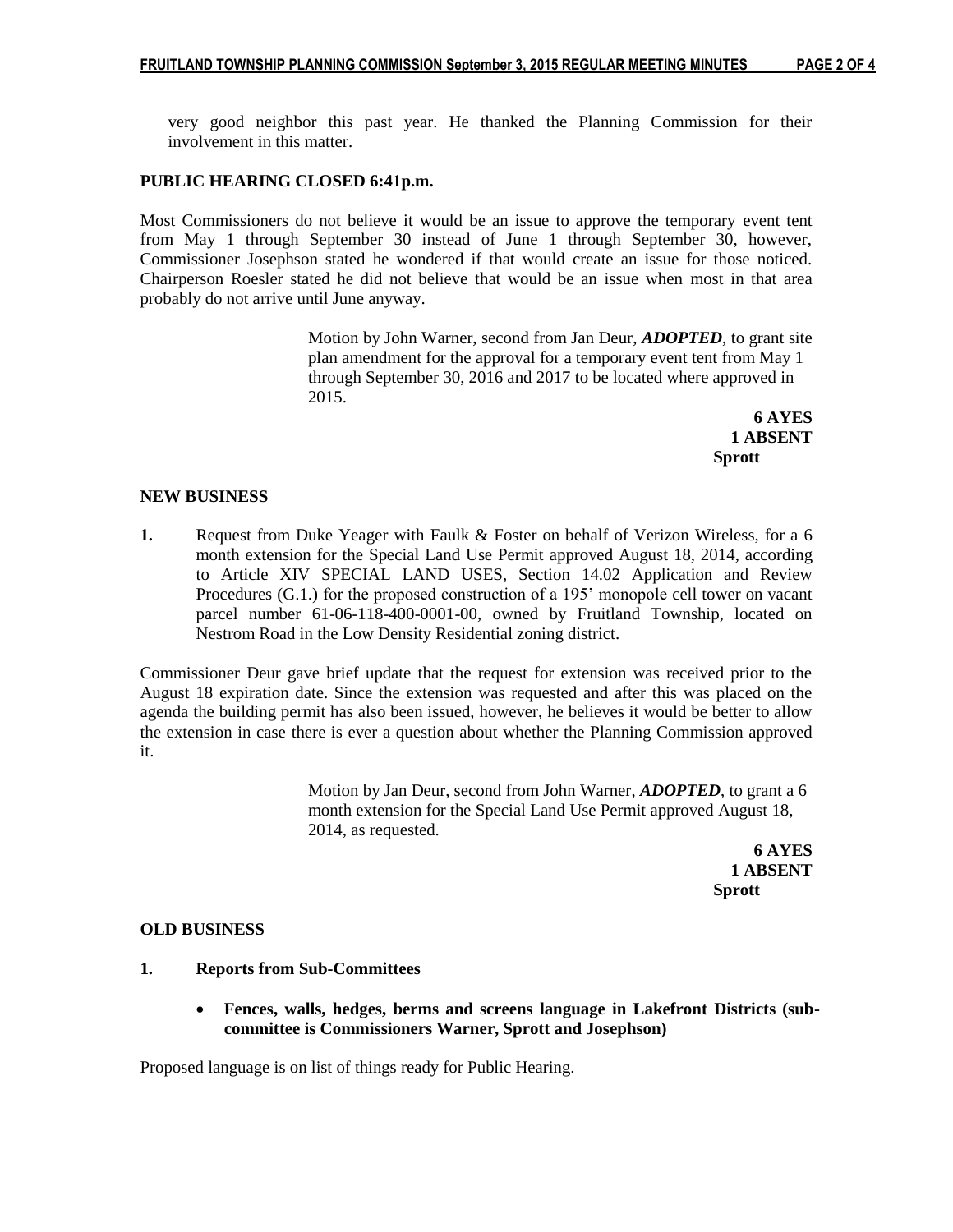very good neighbor this past year. He thanked the Planning Commission for their

### **PUBLIC HEARING CLOSED 6:41p.m.**

involvement in this matter.

Most Commissioners do not believe it would be an issue to approve the temporary event tent from May 1 through September 30 instead of June 1 through September 30, however, Commissioner Josephson stated he wondered if that would create an issue for those noticed. Chairperson Roesler stated he did not believe that would be an issue when most in that area probably do not arrive until June anyway.

> Motion by John Warner, second from Jan Deur, *ADOPTED*, to grant site plan amendment for the approval for a temporary event tent from May 1 through September 30, 2016 and 2017 to be located where approved in 2015.

**6 AYES 1 ABSENT Sprott**

## **NEW BUSINESS**

**1.** Request from Duke Yeager with Faulk & Foster on behalf of Verizon Wireless, for a 6 month extension for the Special Land Use Permit approved August 18, 2014, according to Article XIV SPECIAL LAND USES, Section 14.02 Application and Review Procedures (G.1.) for the proposed construction of a 195' monopole cell tower on vacant parcel number 61-06-118-400-0001-00, owned by Fruitland Township, located on Nestrom Road in the Low Density Residential zoning district.

Commissioner Deur gave brief update that the request for extension was received prior to the August 18 expiration date. Since the extension was requested and after this was placed on the agenda the building permit has also been issued, however, he believes it would be better to allow the extension in case there is ever a question about whether the Planning Commission approved it.

> Motion by Jan Deur, second from John Warner, *ADOPTED*, to grant a 6 month extension for the Special Land Use Permit approved August 18, 2014, as requested.

**6 AYES 1 ABSENT Sprott**

#### **OLD BUSINESS**

### **1. Reports from Sub-Committees**

 **Fences, walls, hedges, berms and screens language in Lakefront Districts (subcommittee is Commissioners Warner, Sprott and Josephson)**

Proposed language is on list of things ready for Public Hearing.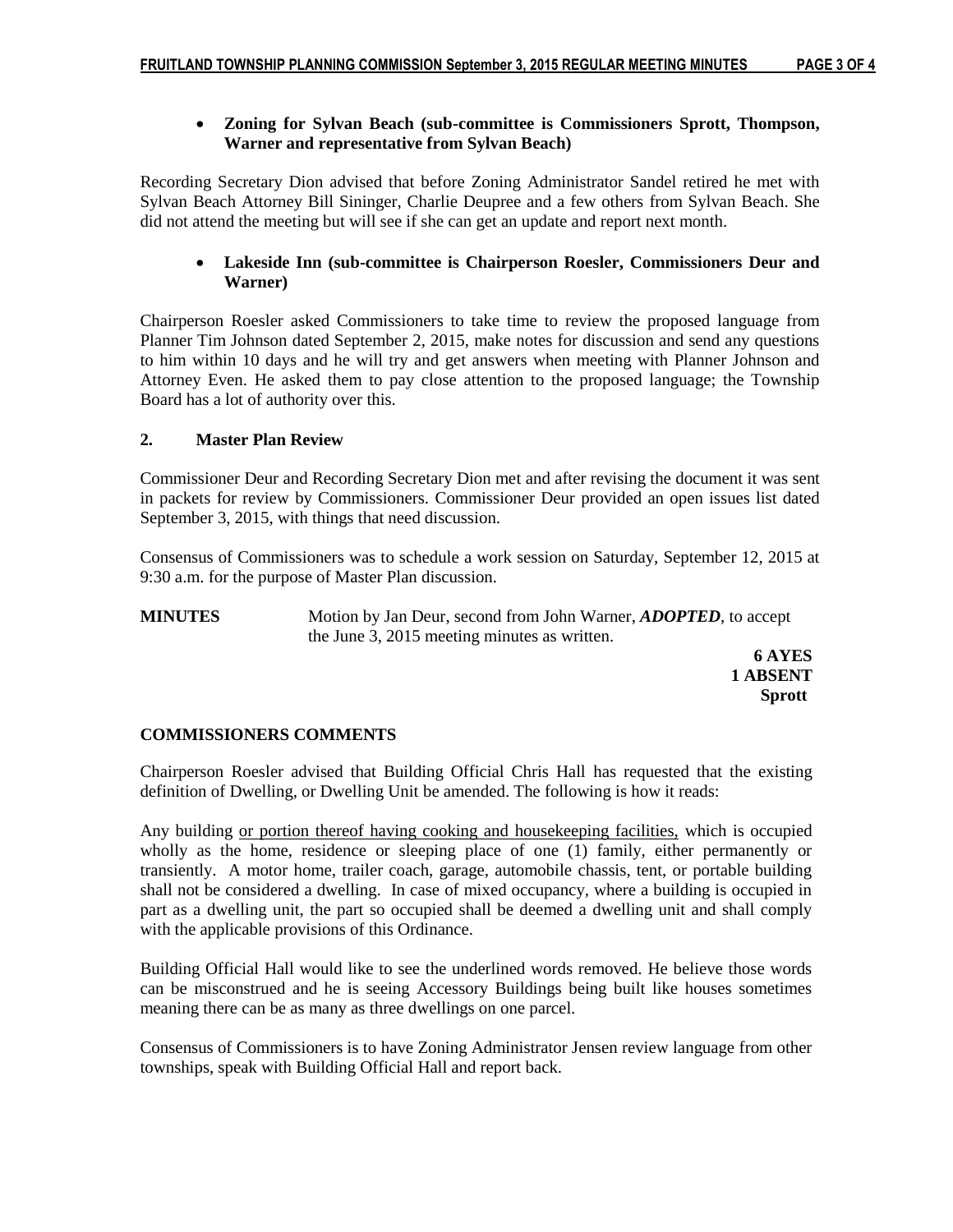# **Zoning for Sylvan Beach (sub-committee is Commissioners Sprott, Thompson, Warner and representative from Sylvan Beach)**

Recording Secretary Dion advised that before Zoning Administrator Sandel retired he met with Sylvan Beach Attorney Bill Sininger, Charlie Deupree and a few others from Sylvan Beach. She did not attend the meeting but will see if she can get an update and report next month.

# **Lakeside Inn (sub-committee is Chairperson Roesler, Commissioners Deur and Warner)**

Chairperson Roesler asked Commissioners to take time to review the proposed language from Planner Tim Johnson dated September 2, 2015, make notes for discussion and send any questions to him within 10 days and he will try and get answers when meeting with Planner Johnson and Attorney Even. He asked them to pay close attention to the proposed language; the Township Board has a lot of authority over this.

# **2. Master Plan Review**

Commissioner Deur and Recording Secretary Dion met and after revising the document it was sent in packets for review by Commissioners. Commissioner Deur provided an open issues list dated September 3, 2015, with things that need discussion.

Consensus of Commissioners was to schedule a work session on Saturday, September 12, 2015 at 9:30 a.m. for the purpose of Master Plan discussion.

**MINUTES** Motion by Jan Deur, second from John Warner, *ADOPTED*, to accept the June 3, 2015 meeting minutes as written.

 **6 AYES 1 ABSENT Sprott**

# **COMMISSIONERS COMMENTS**

Chairperson Roesler advised that Building Official Chris Hall has requested that the existing definition of Dwelling, or Dwelling Unit be amended. The following is how it reads:

Any building or portion thereof having cooking and housekeeping facilities, which is occupied wholly as the home, residence or sleeping place of one (1) family, either permanently or transiently. A motor home, trailer coach, garage, automobile chassis, tent, or portable building shall not be considered a dwelling. In case of mixed occupancy, where a building is occupied in part as a dwelling unit, the part so occupied shall be deemed a dwelling unit and shall comply with the applicable provisions of this Ordinance.

Building Official Hall would like to see the underlined words removed. He believe those words can be misconstrued and he is seeing Accessory Buildings being built like houses sometimes meaning there can be as many as three dwellings on one parcel.

Consensus of Commissioners is to have Zoning Administrator Jensen review language from other townships, speak with Building Official Hall and report back.